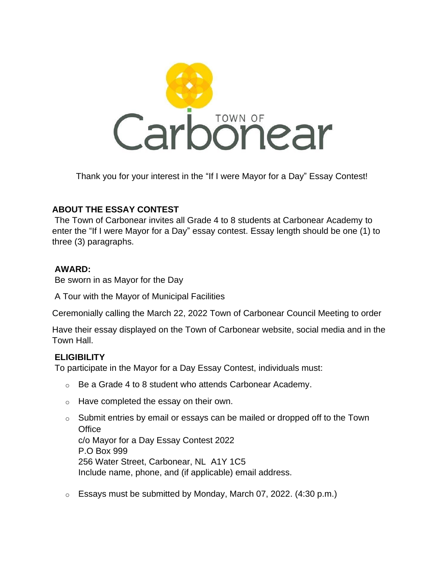

Thank you for your interest in the "If I were Mayor for a Day" Essay Contest!

## **ABOUT THE ESSAY CONTEST**

The Town of Carbonear invites all Grade 4 to 8 students at Carbonear Academy to enter the "If I were Mayor for a Day" essay contest. Essay length should be one (1) to three (3) paragraphs.

#### **AWARD:**

Be sworn in as Mayor for the Day

A Tour with the Mayor of Municipal Facilities

Ceremonially calling the March 22, 2022 Town of Carbonear Council Meeting to order

Have their essay displayed on the Town of Carbonear website, social media and in the Town Hall.

# **ELIGIBILITY**

To participate in the Mayor for a Day Essay Contest, individuals must:

- o Be a Grade 4 to 8 student who attends Carbonear Academy.
- o Have completed the essay on their own.
- $\circ$  Submit entries by email or essays can be mailed or dropped off to the Town  $Office$  Submit entries by emailing or essays can be mainly or dropped or dropped or dropped or dropped or dropped of to the mail c/o Mayor for a Day Essay Contest 2022 P.O Box 999 256 Water Street, Carbonear, NL A1Y 1C5 Include name, phone, and (if applicable) email address.
- $\circ$  Essays must be submitted by Monday, March 07, 2022. (4:30 p.m.)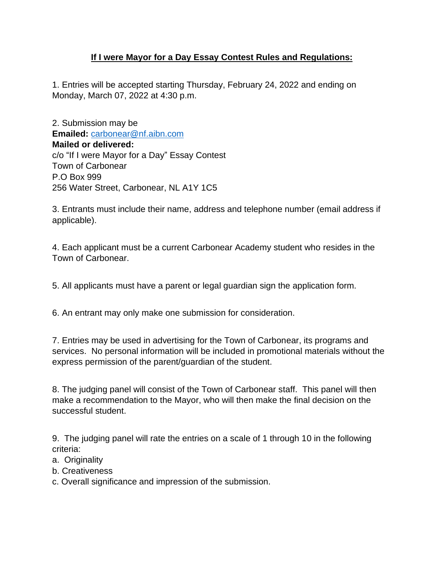## **If I were Mayor for a Day Essay Contest Rules and Regulations:**

1. Entries will be accepted starting Thursday, February 24, 2022 and ending on Monday, March 07, 2022 at 4:30 p.m.

2. Submission may be **Emailed:** [carbonear@nf.aibn.com](mailto:carbonear@nf.aibn.com) **Mailed or delivered:** c/o "If I were Mayor for a Day" Essay Contest Town of Carbonear P.O Box 999 256 Water Street, Carbonear, NL A1Y 1C5

3. Entrants must include their name, address and telephone number (email address if applicable).

4. Each applicant must be a current Carbonear Academy student who resides in the Town of Carbonear.

5. All applicants must have a parent or legal guardian sign the application form.

6. An entrant may only make one submission for consideration.

7. Entries may be used in advertising for the Town of Carbonear, its programs and services. No personal information will be included in promotional materials without the express permission of the parent/guardian of the student.

8. The judging panel will consist of the Town of Carbonear staff. This panel will then make a recommendation to the Mayor, who will then make the final decision on the successful student.

9. The judging panel will rate the entries on a scale of 1 through 10 in the following criteria:

- a. Originality
- b. Creativeness

c. Overall significance and impression of the submission.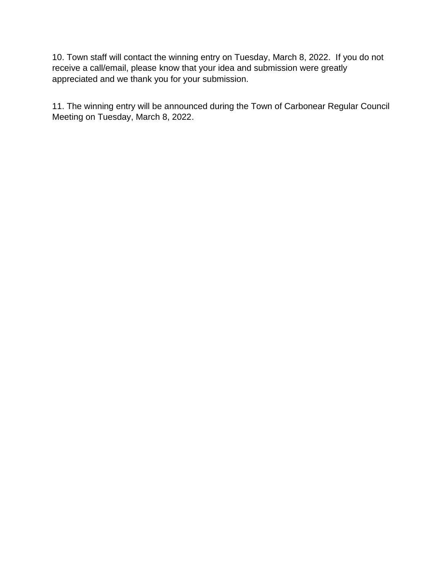10. Town staff will contact the winning entry on Tuesday, March 8, 2022. If you do not receive a call/email, please know that your idea and submission were greatly appreciated and we thank you for your submission.

11. The winning entry will be announced during the Town of Carbonear Regular Council Meeting on Tuesday, March 8, 2022.